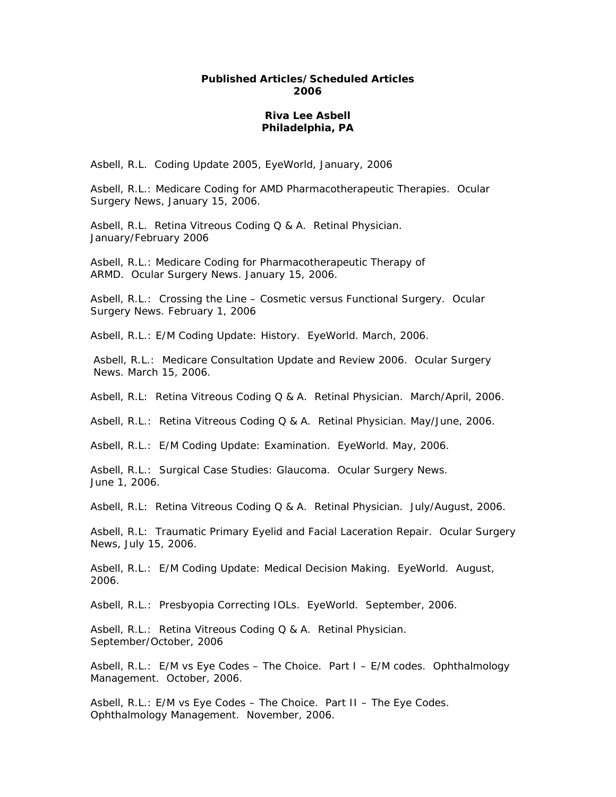## **Published Articles/Scheduled Articles 2006**

## **Riva Lee Asbell Philadelphia, PA**

Asbell, R.L. Coding Update 2005, EyeWorld, January, 2006

Asbell, R.L.: Medicare Coding for AMD Pharmacotherapeutic Therapies. Ocular Surgery News, January 15, 2006.

Asbell, R.L. Retina Vitreous Coding Q & A. Retinal Physician. January/February 2006

Asbell, R.L.: Medicare Coding for Pharmacotherapeutic Therapy of ARMD. Ocular Surgery News. January 15, 2006.

Asbell, R.L.: Crossing the Line – Cosmetic versus Functional Surgery. Ocular Surgery News. February 1, 2006

Asbell, R.L.: E/M Coding Update: History. EyeWorld. March, 2006.

Asbell, R.L.: Medicare Consultation Update and Review 2006. Ocular Surgery News. March 15, 2006.

Asbell, R.L: Retina Vitreous Coding Q & A. Retinal Physician. March/April, 2006.

Asbell, R.L.: Retina Vitreous Coding Q & A. Retinal Physician. May/June, 2006.

Asbell, R.L.: E/M Coding Update: Examination. EyeWorld. May, 2006.

Asbell, R.L.: Surgical Case Studies: Glaucoma. Ocular Surgery News. June 1, 2006.

Asbell, R.L: Retina Vitreous Coding Q & A. Retinal Physician. July/August, 2006.

Asbell, R.L: Traumatic Primary Eyelid and Facial Laceration Repair. Ocular Surgery News, July 15, 2006.

Asbell, R.L.: E/M Coding Update: Medical Decision Making. EyeWorld. August, 2006.

Asbell, R.L.: Presbyopia Correcting IOLs. EyeWorld. September, 2006.

Asbell, R.L.: Retina Vitreous Coding Q & A. Retinal Physician. September/October, 2006

Asbell, R.L.: E/M vs Eye Codes – The Choice. Part I – E/M codes. Ophthalmology Management. October, 2006.

Asbell, R.L.: E/M vs Eye Codes – The Choice. Part II – The Eye Codes. Ophthalmology Management. November, 2006.